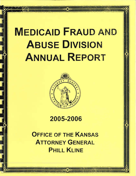# **MEDICAID FRAUD AND ABUSE DIVISION ANNUAL REPORT**



# 2005-2006

**OFFICE OF THE KANSAS** ATTORNEY GENERAL **PHILL KLINE**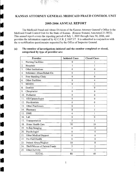# KANSAS ATTORNEY GENERAL MEDICAID FRAUD CONTROL UNIT

## 2005-2006 ANNUAL REPORT

The Medicaid Fraud and Abuse Division of the Kansas Attorney General's Office is the Medicaid Fraud Control Unit for the State of Kansas. (Kansas Statutes Annotated 21-3852). This annual report covers the reporting period of July 1, 2005 through June 30,2006, and provides the information required by 42 C.F .R. § 1007.17. It is submitted in conjunction with the re-certification questionnaire requested by the Office of Inspector General.

## (a) The number of investigations initiated and the number completed or closed, categorized by type of provider are:

..

an<br>Barat dan Ka

 $\frac{1}{2}$ 

..

..

..

..

..

..

•<br>•<br>•

•<br>•<br>•

•

•<br>•<br>•

•<br>•<br>•

| Provider                             | <b>Initiated Cases</b> | <b>Closed Cases</b> |
|--------------------------------------|------------------------|---------------------|
| <b>Nursing Facilities</b><br>1.      | 0                      | l                   |
| 2.<br>Hospitals                      | 1                      | 1                   |
| Other Institutions<br>3.             | $\ddot{0}$             | $\bf{0}$            |
| Substance Abuse/Rehab Ctr.<br>4.     | $\theta$               | 1                   |
| Free Standing Clinic<br>5.           | $\boldsymbol{0}$       | 0                   |
| <b>Other Facilities</b><br>6.        | $\theta$               | 4                   |
| MD/DO<br>7.                          | $\theta$               | 3                   |
| Dentists<br>8.                       | ţ                      | 0                   |
| Chiopractor<br>9.                    | $\theta$               | 0                   |
| Podiatrist<br>10.                    | Ű                      | 0                   |
| OD/Optamologist<br>11.               | $\ddot{\text{o}}$      | 0                   |
| Psychiatrists<br>12.                 | $\hat{0}$              | 0                   |
| Other Practioners<br>13.             | 0                      | 1                   |
| 14.<br>Pharmacy                      | 8                      | 5                   |
| 15.<br><b>DME</b>                    | 4                      | Ť                   |
| 16.<br>Lab                           | $\mathbf 0$            | 0                   |
| Transportation<br>17.                | 5                      | 1                   |
| Home Health Care<br>18.              | 50                     | 19                  |
| X-Ray/Imaging<br>19.                 | $\bf{0}$               | $\theta$            |
| Psychologist<br>20.                  | $\hat{0}$              | $\theta$            |
| Other Medical Support<br>21.         | $\theta$               | $\bf{0}$            |
| Pre-Paid Health<br>22.               | 0                      | 0                   |
| Patient Abuse/Neglect<br>23.         | 10                     | 8                   |
| Theft/Misuse of Patient Funds<br>24. | 5                      | $\overline{2}$      |
| Other/Activity<br>25.                | 4                      | ĺ                   |
| <b>TOTAL</b>                         | 88                     | 48                  |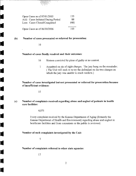| Open Cases as of 07/01/2005        | 153  |
|------------------------------------|------|
| Add: Cases Initiated During Period | 88.  |
| Less: Cases Closed/Completed       | (48) |
| Open Cases as of 06/30/2006        | 193  |

(b)

 $\blacksquare$ 

!

1 •

•

•

•

•

•

..

**.**<br>• ال

..

..

 $\frac{1}{\sqrt{2}}$ 

•

 $\mathbf{r}$ 

•

 $\mathbf{r}$ 

•

..

# Number of cases prosecuted or referred for prosecution:

10

#### Number of cases finally resolved and tbeir outcomes:

- 16 Sixteen convicted by pleas of guilty or no contest.
- 1 Acquitted on six of eight charges. The jury hung on the remainder. ( The Unit will seek to re-try the defendant on the two charges on which the jury was unable to reach verdicts.)

Number of cases investigated but not prosecuted or referred for prosecution because of insufficient evidence:

15

#### (c) Number of complaints received regarding abuse and neglect of patients in health care facilities:

4,075

Every complaint received by the Kansas Department of Aging (formerly the Kansas Department of Health and Environment) regarding abuse and neglect in healthcare facilities and from consumers or the public is reviewed.

#### Number of such complaints investigated by the Unit:

5

#### Number of complaints referred to other state agencies: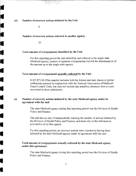(d) Number of recovery actions initiated by the Unit:

 $\theta$ 

#### Number of recovery actions referred to another agency:

26

 $\blacksquare$ 

 $\begin{bmatrix} \mathcal{L} \mathcal{L} \mathcal{L} \mathcal{L} \mathcal{L} \mathcal{L} \mathcal{L} \mathcal{L} \mathcal{L} \mathcal{L} \mathcal{L} \mathcal{L} \mathcal{L} \mathcal{L} \mathcal{L} \mathcal{L} \mathcal{L} \mathcal{L} \mathcal{L} \mathcal{L} \mathcal{L} \mathcal{L} \mathcal{L} \mathcal{L} \mathcal{L} \mathcal{L} \mathcal{L} \mathcal{L} \mathcal{L} \mathcal{L} \mathcal{L} \mathcal{L} \mathcal{L} \mathcal{L} \mathcal{L} \mathcal{$ 

•

•

 $\begin{bmatrix}\n\text{space} \\
\text{space}\n\end{bmatrix}$ 

•

 $\frac{1}{\sqrt{1+\left(\frac{1}{\sqrt{1+\left(\frac{1}{\sqrt{1+\left(\frac{1}{\sqrt{1+\left(\frac{1}{\sqrt{1+\left(\frac{1}{\sqrt{1+\left(\frac{1}{\sqrt{1+\left(\frac{1}{\sqrt{1+\left(\frac{1}{\sqrt{1+\left(\frac{1}{\sqrt{1+\left(\frac{1}{\sqrt{1+\left(\frac{1}{\sqrt{1+\left(\frac{1}{\sqrt{1+\left(\frac{1}{\sqrt{1+\left(\frac{1}{\sqrt{1+\left(\frac{1}{\sqrt{1+\left(\frac{1}{\sqrt{1+\left(\frac{1}{\sqrt{1+\left(\frac{1}{\sqrt{1+\left(\frac{1}{\sqrt{1+\left$ 

 $\frac{1}{\sqrt{2}}$ 

 $\begin{bmatrix} \mathbf{r} & \mathbf{r} \\ \mathbf{r} & \mathbf{r} \end{bmatrix}$ 

 $\mathcal{L}$ 

 $\mathbf{r}$ 

•

 $\mathbf{r}$ 

•

#### Total amount of overpayments identified by the Unit:

For this reporting period the unit identified, and referred to the single state Medicaid agency, matters of apparent overpayments but left the determination of the amount up to the single state agency.

#### Total amount of overpayments actually collected by the Unit:

\$ 427,871.06 (This number includes both the federal and state shares of global settlements pursued in conjunction with the National Association of Medicaid Fraud Control Units, but does not include any penalties, attorneys fees or costs recovered in those settlements.

#### (e) Number of recovery actions initiated by the state Medicaid agency under its agreement with the unit:

The state Medicaid agency during this reporting period was the Division of Health Policy and Finance.

The unit has no way of independently tracking the number of actions initiated by the Division of Health Policy and Finance, and must rely on the information provided to us by that agency.

For this reporting period, no recovery actions were reported as having been initiated by the state Medicaid agency under its agreement with the unit.

# Total amount of overpayments actually collected by the state Medicaid agency under this agreement:

The state Medicaid agency during this reporting period was the Division of Health Policy and Finance.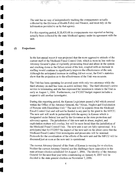The unit has no way of independently tracking the overpayments actually collected by the Division of Health Policy and Finance, and must rely on the information provided to us by that agency.

For this reporting period, \$ 28,430.68 in overpayments was reported as having actually becn collected by the state Medicaid agency under its agreement with the unit.

#### **(t) Projections:**

•

•

•

•

•

•

•

**.**<br>•

•

•

•

 $\mathbf{r}$ 

•

 $\frac{1}{2}$ 

•

•

•

•

**••** 

In the last anuual report it was projected that the more aggressive attitude of the current staff of the Medicaid Fraud Control Unit, which is more in line with the Attorney General's plan of vigilantly prosecuting fraud and abuse in the system and cracking down to the fullest extent of the law, coupled with an increase in staffing would continue to significantly improve the effectiveness of the unit. Although the anticipated increase in staffing did not occur, the Unit's statistics show that the projection as to the effectiveness of the Unit was accurate.

The Unit has been operating for several years with only two attorneys while the third attorney on staff has been on active military duty. The third attorney's active service is terminating and she has expressed her intention to return to the Unit as early as August 1, 2006. Furthermore, our FY2007 budget request includes a request to add another investigator.

During this reporting period, the Kansas Legislature passed a bill which created within the Office of the Attorney General, the "Abuse, Neglect and Exploitation of Persons with Disabilities Unit." The unit will be separate from the Medicaid Fraud Control Unit and will not be funded in any part by the grant to the MFCU. The new unit will work in partnership with the agency in Kansas which is designated under federal law and by the Governor as the state protection and advocacy agency. The jurisdiction of this new unit in abuse, neglect, and exploitation matters will overlap, but will be more broad than the jurisdiction of the Medicaid Fraud Control Unit. The new unit is not yet fully operational. It is anticipated that for FY2007 the impact of the new unit on the abuse cases that the Medicaid Fraud Control Unit investigates and prosecutes will be minimal. Protocols for the coordination of the efforts of the new unit and the MFCU will be discussed just as soon as the new unit is operational.

The current Attorney General of the State of Kansas is running for re-election. Neither the current Attorney General nor his challenger have opposition in the state primary election scheduled for August 1,2006. The identity of the Attorney General for the next four year term commencing on January 8, 2007 will be decided in the state general election on November 7, 2006.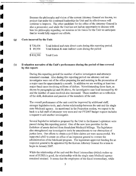Because the philosophy and vision of the current Attorney General are known, we project that under his continued leadership the Unit and its effectiveness will continue to improve. The other candidate for the office of the Attorney General is also a prosecutor; and while the Unit has not had an opportunity to discuss with him his philosophy regarding our mission or his vision for the Unit we anticipate that he would fully support our efforts.

#### (g) **Costs incurred by the Unit:**

 $\frac{1}{2}$ 

•

 $\mathbf{r}$ 

•

 $\sum_{i=1}^{n}$ 

•

**.**<br>•

**it** 

**it** 

**It** 

**••** 

**Ii** 

 $\frac{1}{\sqrt{2}}$ 

 $\sum_{i=1}^{n}$ 

•

It

It also

| \$728,436 | Total federal and state direct costs during this reporting period. |
|-----------|--------------------------------------------------------------------|
| \$89,954  | Total federal $\&$ state indirect costs during the period          |
| \$818,390 | <b>Total Costs</b>                                                 |

#### (h) **Evaluation narrative of the Unit's performance during the period of time covered by this report:**

During this reporting period the number of active investigators and attorneys remained constant. Also during this reporting period one attorney and one investigator were out of the office preparing for and assisting in the prosecution of a major case for approximately a month. In addition we are working at least two major fraud cases involving millions of dollars. Notwithstanding those facts, as shown by paragraphs (a) and (b) above, the investigative case load increased by 40 and the number of cases resolved also increased. Those numbers are a reflection of the skill, dedication and passion of the members of the unit.

The overall performance of the unit could be improved by additional staff, stronger legislative tools, and a better relationship between the unit and the single state Medicaid agency. As mentioned in the Projection section, we expect to be back to a full staff of attorneys very soon and our FY2007 budget request includes a request to add another investigator.

Several legislative initiatives proposed by the Unit to the Kansas Legislature were passed during this reporting period. One of the new laws provides for the forfeiture of assets derived from fraudulent Medicaid billings. The legislature also strengthened our investigative tools by amendments to our obstruction of justice laws. Our efforts to obtain a civil false claims act were unsuccessful. We supported a bill to create an office of an inspector general to oversee the administration of the Medicaid program. The legislature approved funding for an inspector general to be appointed by the Kansas Attorney General for a term to begin in January 2007.

While the relationship of the unit and the fiscal intermediary (which makes up most of SURS) is good, the relationship with the single state Medicaid agency remained strained. It seems that the employees of the fiscal intermediary, while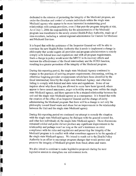dedicated to the mission of protecting the integrity of the Medicaid program, are under the direction and control of certain individuals within the single state Medicaid agency who appear to be more interested in maintaining good relationships with certain providers, even if that puts the program integrity at risk. As of July 1, 2006 the responsibility for the administration of the Medicaid program was transferred to the newly created Health Policy Authority, made up of nine-members, including a retired regional administrator for Centers for Medicare and Medicaid Services.

~-...•... --.~.--...... --.~.--... ~-

i**i** 

II

**i** 

**ii** 

**ii** 

i**j** 

**ij** 

**il** 

•

 $\mathcal{L}^{\text{max}}_{\text{max}}$ 

I

I

It is hoped that with the assistance of the Inspector General we will be able to convince the new Health Policy Authority that it needs to implement a change in philosophy that would require all providers and program administrators to strictly comply with federal laws and regulations and with all program requirements. Such a change in policy would assist the MFCU in its recovery efforts and increase the effectiveness of the fiscal intermediary and the SURS function, resulting in a greater protection of the integrity of the Medicaid program.

During this reporting period, the single state Medicaid Agency continued to engage in the practices of waiving program requirements; discounting, settling, or otherwise forgiving provider overpayments whieh have been identified by the fiscal intermediary hired by the single state Medicaid Agency; and otherwise failing to comply with federal and state rules and regulations. Some of our inquires about why those thing are allowed to occur have been ignored; others appear to have caused annoyance, anger or hostility among some within the single state Medicaid agency, and there appears to be a strained relationship between the unit and the single state Medicaid agency as a consequence. It is hoped that with the creation of the office of an Inspector General and the change of entity administering the Medicaid program that there will be a change in not only the philosophy toward fraud waste and abuse but an improvement in the relationship between the Unit and the single state Medicaid agency.

During this reporting period we continued our attempt to remedy the situation with the single state Medicaid agency by dialogue with the general counsel for, and other key individuals of, the single state Medicaid agency. Those discussions remained cordial and polite did not produce any significant improvement in the relationship and perhaps won't as long as the unit's insistence on strict compliance with the rules and regulations and preserving the integrity of the Medicaid program is in conflict with what sometimes appears to be the agenda of the single state Medicaid agency. We intend to reach out to the Health Policy Authority in an effort to encourage program changes that would protect and preserve the integrity of Medicaid program from fraud, abuse and waste.

We also intend to continue to make legislative proposals during the next legislative session to strengthen our enforcement tools.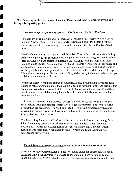The following are brief synopses of some of the criminal cases prosecuted by the unit during this reporting period:

**III** 

II

**II** 

**II** 

**III** 

II

II

II

•<br>•<br>•

 $\mathcal{L}$ 

•

।<br>भारत<br>भारत

•

•

•

 $\mathcal{L}^{\text{max}}_{\text{max}}$ 

•

•

I

#### United States of America vs Arlan D. Kaufman and, Linda J. Kaufman

This case involved physical abuse of mentally ill residents at Kaufman House, a group home in Newton, Kansas by the owners Arlan Kaufman, a one-time licensed clinical social worker with a doctorate degree in social work, and his wife Linda, a registered nurse.

The Kaufmans managed the medical and financial affairs of the residents at their facility. Rather than lawfully and responsibly carrying out their duties as caregivers, the Kaufmans used physical force and threats to intimidate the residents, to isolate them from their families and to sexually humiliate them. At times residents were forced to strip naked and confined to a seclusion room, forced to urinate and defecate into a wastebasket, shocked on the genitals with a stun gun, and forced to perform sexual acts while being videotaped. The residents were repeatedly warned that if they did not obey their abusers they could go to jailor a state mental institution.

While the abusive conditions existed at Kaufinan House, the Kaufmans submitted false claims to Medicare totaling morc than \$200,000 seeking payment for therapy services that were not provided and services that did not meet Medicare standards. Patients and their families also received bills totaling hundreds of thousands of dollars for services that were not rendered.

This case was referred to the United States Attorneys oflice for prosecution because of the Medicare fraud and because federal laws provided greater remedies for the abusive actions than did state laws. The Medicaid Fraud Control Unit remained involved and provided investigative and legal assistance both prior to trial and during the month long trial; including trial testimony.

The federal jury found Arlan Kaufman guilty on 31 counts including conspiracy, forced labor, involuntary servitude, health care fraud, money laundering, mail fraud and obstructing a federal audit. Linda Kaufman was found guilty on 30 counts. Arlan Kaufman was subsequently sentenced to serve 30 years and Linda Kaufman was sentenced to serve 7 years.

#### United State of America v. Peggy Franklin-El and Johnnie Franklin-EI

Assistant Attorney General Loren F. Snell, Jr., acting under his designation of Special Assistant United States Attorney, obtained an indictment of Peggy Franklin-EI and Johnnie Franklin-El from a federal grand jury. The indictment charges the couple each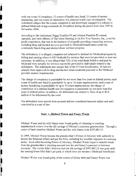with one count of conspiracy, 52 counts of health care fraud, 15 counts of money laundering, and one count of ohstruction of a criminal health care investigation. The indictment alleges that the couple conspired to and knowingly engaged in a scheme to defraud Medicaid of approximately \$1.24 million during the period from June 2003 to Novemher 2004.

According to the indictment, Peggy Franklin-EI and Johnnie Franklin-E1 owned, operated, and were officers of The Great Meeting Is On For Your Success, Inc., a not for profit corporation, that was in the business of allegedly providing counseling services, including drug and alcohol services provided to Medicaid beneficiaries under the community based drug and alcohol abuse services program.

I

I

I

I

I

I

I

I

I

I

I

**I for the control of the control of the control of the control of the control of the control of the control of the control of the control of the control of the control of the control of the control of the control of the c** 

**RESERVE CONTROLLER** 

The defendants, it is alleged, conspired and schemed to defraud the Medicaid program by billing and causing others to bill Medicaid for services that were not provided or were not necessary. In addition, it was alleged that 32% of the total funds billed to and paid by Medicaid were actually for services reportedly provided to individuals related to the defendants. The indictment also alleges that of the 67 total beneficiaries, 56 had not actually been approved for drug and alcohol abuse treatment pursuant to the Medicaid provider manual requirements.

The charge of conspiracy is punishable by not more than five years in federal prison; each count of health care fraud is punishable by up to 10 years imprisorunent; each count of money laundering is punishable by up to 10 years imprisonment; the charge of obstruction of a criminal health care investigation is punishable by not more than five years in federal prison. In addition, the defendants are subject to fines of up to \$2.4 million to be determined by the court.

The defendants have merely been accused and are considered innocent unless and until convicted in a court of law.

#### State v. Michael **Wurm** and Nancy **Wurm**

Michael Wurm and his wife Nancy were found guilty of obtaining or exerting unauthorized control over the life savings of Michael's maternal grandmother. Through a series of bank transfers Michael Wurrn and his wife Naney took \$397,885.25.

In 1999, Michael Wurm became his grandmother's Power of Attorney with authority to handle her financial affairs and pay her bills, including her monthly expenses at a nursing home. Soon after becoming Power of Attorney, Michael Wurm began to transfer funds from his grandmother's checking account into his and Nancy's personal or business accounts. The victim didn't discover that her life savings of \$397,885.25 was gone until her nursing home bills didn't get paid, at which time she became a Medicaid beneficiary.

Michael Wurm was found guilty of ten counts of felony theft and Nancy Wurm was

8

L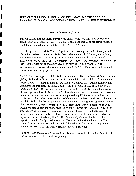found guilty of six counts of misdemeanor theft. Under the Kansas Sentencing Guidelines both defendants were granted probation. Both were ordered to pay restitution

#### **State v. Patricia A. Smitb**

I

I

I

I

I

I

I

I

I

I

I

I

I

I

Patricia A. Smith (a registered nurse) plead guilty to and was convicted of Medicaid fraud. She was granted probation from the confinement portion of her sentence; fined \$5,000 and ordered to pay restitution of \$16,397.16 plus interest.

The charge against Patricia Smith alleged that she knowingly and intentionally aided, abetted, or assisted Timothy W. Smith (her husband - a medical doctor) and or Molly Smith (her daughter) in submitting false and fraudulent claims in the amount of \$22,086.48 to the Kansas Medicaid program. The claims were for personal care attendant services that were not or could not have been provided by Molly Smith. As a consequence the Kansas Medicaid program paid \$16,397.16 for services that were not provided or were not properly billed.

Patricia Smith arranged for Molly Smith to become enrolled as a Personal Care Attendant (PCA) for her sister H.-AS who was a Medicaid eligible minor child still living at the home of Patricia Smith and Timothy W. Smith. We believe that Patricia Smith actually completed the enrollment documents and signed Molly Smith's name to the Provider Agreement. Thereafter Medicaid claims were submitted in Molly's name for services allegedly provided by Molly for H.-AS. That the claims were fraudulent was discovered when a non-family member who was actually providing PCA services saw blank and partially completed time sheets in the Smith home that had been pre-signed with the name of Molly Smith. Further investigation revealed that Molly Smith had signed and given blank or partially complcted time sheets to Patricia Smith who completed them with fraudulent time entries and submitted them to the Medicaid program as if Molly Smith who was living in Chicago - was actually providing the services in the Kansas City area. Patricia Smith also signed Molly Smith's name on some of the time sheets and on the payment checks sent to Molly Smith. The fraudulently obtained funds were then deposited into the family banking account. Beeause the Smith family has significant financial resources, wc were able to obtain full restitution for the Medicaid program without the need for the program to initiate collection activities.

Conspiracy and fraud charges against Molly Smith go to trial at the end of August 2006. Charges against Timothy Smith are pending.